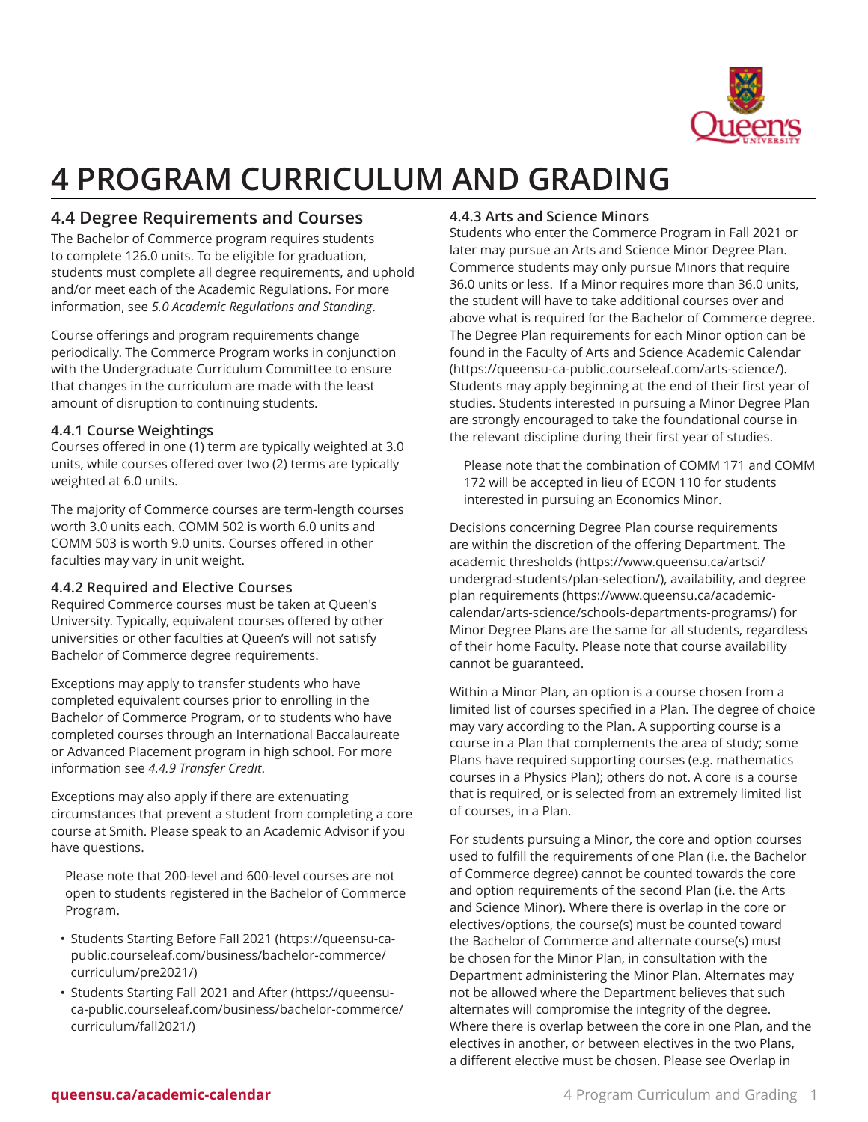

# **4 PROGRAM CURRICULUM AND GRADING**

# **4.4 Degree Requirements and Courses**

The Bachelor of Commerce program requires students to complete 126.0 units. To be eligible for graduation, students must complete all degree requirements, and uphold and/or meet each of the Academic Regulations. For more information, see *5.0 Academic Regulations and Standing*.

Course offerings and program requirements change periodically. The Commerce Program works in conjunction with the Undergraduate Curriculum Committee to ensure that changes in the curriculum are made with the least amount of disruption to continuing students.

# **4.4.1 Course Weightings**

Courses offered in one (1) term are typically weighted at 3.0 units, while courses offered over two (2) terms are typically weighted at 6.0 units.

The majority of Commerce courses are term-length courses worth 3.0 units each. COMM 502 is worth 6.0 units and COMM 503 is worth 9.0 units. Courses offered in other faculties may vary in unit weight.

# <span id="page-0-0"></span>**4.4.2 Required and Elective Courses**

Required Commerce courses must be taken at Queen's University. Typically, equivalent courses offered by other universities or other faculties at Queen's will not satisfy Bachelor of Commerce degree requirements.

Exceptions may apply to transfer students who have completed equivalent courses prior to enrolling in the Bachelor of Commerce Program, or to students who have completed courses through an International Baccalaureate or Advanced Placement program in high school. For more information see *4.4.9 Transfer Credit*.

Exceptions may also apply if there are extenuating circumstances that prevent a student from completing a core course at Smith. Please speak to an Academic Advisor if you have questions.

Please note that 200-level and 600-level courses are not open to students registered in the Bachelor of Commerce Program.

- [Students](https://queensu-ca-public.courseleaf.com/business/bachelor-commerce/curriculum/pre2021/) Starting Before Fall 2021 ([https://queensu-ca](https://queensu-ca-public.courseleaf.com/business/bachelor-commerce/curriculum/pre2021/)[public.courseleaf.com/business/bachelor-commerce/](https://queensu-ca-public.courseleaf.com/business/bachelor-commerce/curriculum/pre2021/) [curriculum/pre2021/\)](https://queensu-ca-public.courseleaf.com/business/bachelor-commerce/curriculum/pre2021/)
- [Students Starting Fall 2021 and After](https://queensu-ca-public.courseleaf.com/business/bachelor-commerce/curriculum/fall2021/) ([https://queensu](https://queensu-ca-public.courseleaf.com/business/bachelor-commerce/curriculum/fall2021/)[ca-public.courseleaf.com/business/bachelor-commerce/](https://queensu-ca-public.courseleaf.com/business/bachelor-commerce/curriculum/fall2021/) [curriculum/fall2021/](https://queensu-ca-public.courseleaf.com/business/bachelor-commerce/curriculum/fall2021/))

# **4.4.3 Arts and Science Minors**

Students who enter the Commerce Program in Fall 2021 or later may pursue an Arts and Science Minor Degree Plan. Commerce students may only pursue Minors that require 36.0 units or less. If a Minor requires more than 36.0 units, the student will have to take additional courses over and above what is required for the Bachelor of Commerce degree. The Degree Plan requirements for each Minor option can be found in the [Faculty of Arts and Science Academic Calendar](https://queensu-ca-public.courseleaf.com/arts-science/) (<https://queensu-ca-public.courseleaf.com/arts-science/>). Students may apply beginning at the end of their first year of studies. Students interested in pursuing a Minor Degree Plan are strongly encouraged to take the foundational course in the relevant discipline during their first year of studies.

Please note that the combination of COMM 171 and COMM 172 will be accepted in lieu of ECON 110 for students interested in pursuing an Economics Minor.

Decisions concerning Degree Plan course requirements are within the discretion of the offering Department. The academic [thresholds](https://www.queensu.ca/artsci/undergrad-students/plan-selection/) ([https://www.queensu.ca/artsci/](https://www.queensu.ca/artsci/undergrad-students/plan-selection/) [undergrad-students/plan-selection/\)](https://www.queensu.ca/artsci/undergrad-students/plan-selection/), availability, and [degree](https://www.queensu.ca/academic-calendar/arts-science/schools-departments-programs/) plan [requirements](https://www.queensu.ca/academic-calendar/arts-science/schools-departments-programs/) ([https://www.queensu.ca/academic](https://www.queensu.ca/academic-calendar/arts-science/schools-departments-programs/)[calendar/arts-science/schools-departments-programs/](https://www.queensu.ca/academic-calendar/arts-science/schools-departments-programs/)) for Minor Degree Plans are the same for all students, regardless of their home Faculty. Please note that course availability cannot be guaranteed.

Within a Minor Plan, an option is a course chosen from a limited list of courses specified in a Plan. The degree of choice may vary according to the Plan. A supporting course is a course in a Plan that complements the area of study; some Plans have required supporting courses (e.g. mathematics courses in a Physics Plan); others do not. A core is a course that is required, or is selected from an extremely limited list of courses, in a Plan.

For students pursuing a Minor, the core and option courses used to fulfill the requirements of one Plan (i.e. the Bachelor of Commerce degree) cannot be counted towards the core and option requirements of the second Plan (i.e. the Arts and Science Minor). Where there is overlap in the core or electives/options, the course(s) must be counted toward the Bachelor of Commerce and alternate course(s) must be chosen for the Minor Plan, in consultation with the Department administering the Minor Plan. Alternates may not be allowed where the Department believes that such alternates will compromise the integrity of the degree. Where there is overlap between the core in one Plan, and the electives in another, or between electives in the two Plans, a different elective must be chosen. Please see [Overlap in](https://www.queensu.ca/academic-calendar/arts-science/academic-programs/)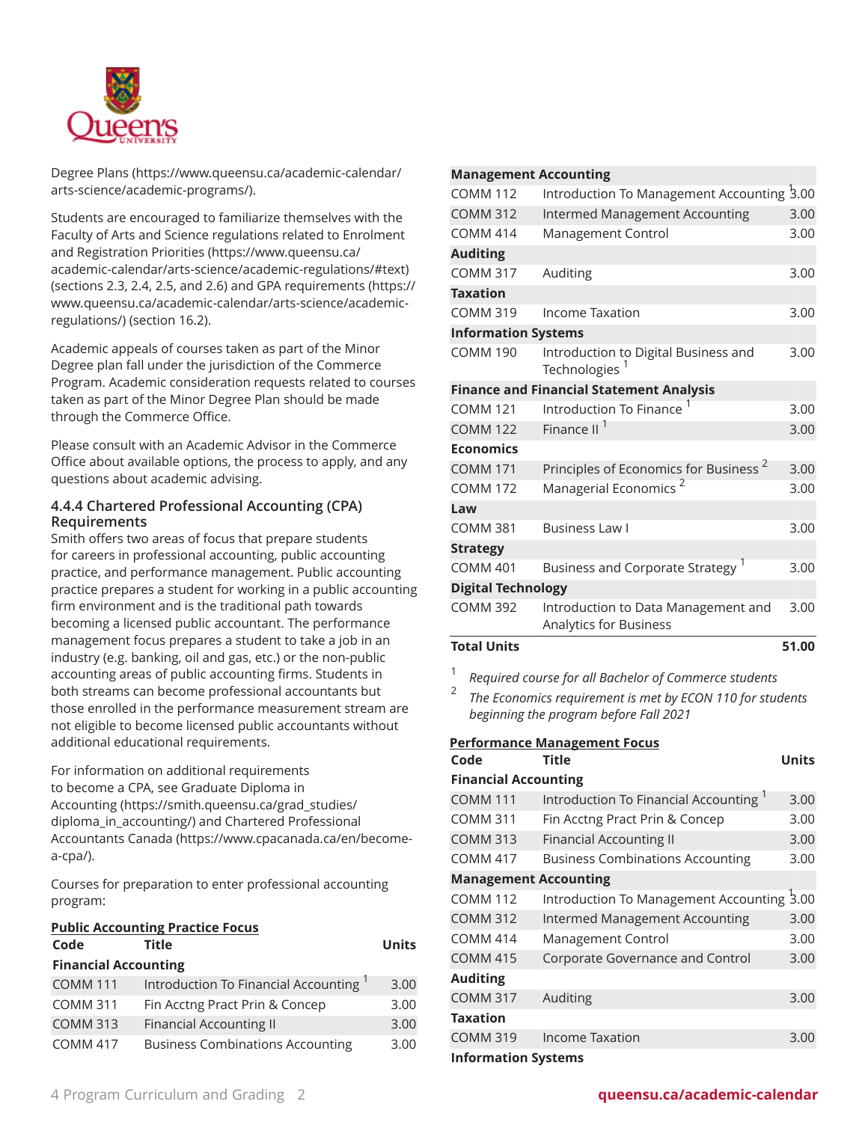

[Degree](https://www.queensu.ca/academic-calendar/arts-science/academic-programs/) Plans ([https://www.queensu.ca/academic-calendar/](https://www.queensu.ca/academic-calendar/arts-science/academic-programs/) [arts-science/academic-programs/\)](https://www.queensu.ca/academic-calendar/arts-science/academic-programs/).

Students are encouraged to familiarize themselves with the Faculty of Arts and Science regulations related to [Enrolment](https://www.queensu.ca/academic-calendar/arts-science/academic-regulations/#text) and [Registration](https://www.queensu.ca/academic-calendar/arts-science/academic-regulations/#text) Priorities [\(https://www.queensu.ca/](https://www.queensu.ca/academic-calendar/arts-science/academic-regulations/#text) [academic-calendar/arts-science/academic-regulations/#text\)](https://www.queensu.ca/academic-calendar/arts-science/academic-regulations/#text) (sections 2.3, 2.4, 2.5, and 2.6) and GPA [requirements](https://www.queensu.ca/academic-calendar/arts-science/academic-regulations/) ([https://](https://www.queensu.ca/academic-calendar/arts-science/academic-regulations/) [www.queensu.ca/academic-calendar/arts-science/academic](https://www.queensu.ca/academic-calendar/arts-science/academic-regulations/)[regulations/](https://www.queensu.ca/academic-calendar/arts-science/academic-regulations/)) (section 16.2).

Academic appeals of courses taken as part of the Minor Degree plan fall under the jurisdiction of the Commerce Program. Academic consideration requests related to courses taken as part of the Minor Degree Plan should be made through the Commerce Office.

Please consult with an Academic Advisor in the Commerce Office about available options, the process to apply, and any questions about academic advising.

# **4.4.4 Chartered Professional Accounting (CPA) Requirements**

Smith offers two areas of focus that prepare students for careers in professional accounting, public accounting practice, and performance management. Public accounting practice prepares a student for working in a public accounting firm environment and is the traditional path towards becoming a licensed public accountant. The performance management focus prepares a student to take a job in an industry (e.g. banking, oil and gas, etc.) or the non-public accounting areas of public accounting firms. Students in both streams can become professional accountants but those enrolled in the performance measurement stream are not eligible to become licensed public accountants without additional educational requirements.

For information on additional requirements to become a CPA, see [Graduate](https://smith.queensu.ca/grad_studies/diploma_in_accounting/) Diploma in [Accounting](https://smith.queensu.ca/grad_studies/diploma_in_accounting/) ([https://smith.queensu.ca/grad\\_studies/](https://smith.queensu.ca/grad_studies/diploma_in_accounting/) diploma in accounting/) and Chartered [Professional](https://www.cpacanada.ca/en/become-a-cpa/) [Accountants Canada](https://www.cpacanada.ca/en/become-a-cpa/) ([https://www.cpacanada.ca/en/become](https://www.cpacanada.ca/en/become-a-cpa/)[a-cpa/\)](https://www.cpacanada.ca/en/become-a-cpa/).

Courses for preparation to enter professional accounting program:

| Code                        | <b>Public Accounting Practice Focus</b><br><b>Title</b> | Units |
|-----------------------------|---------------------------------------------------------|-------|
| <b>Financial Accounting</b> |                                                         |       |
| <b>COMM 111</b>             | Introduction To Financial Accounting <sup>1</sup>       | 3.00  |
| <b>COMM 311</b>             | Fin Acctng Pract Prin & Concep                          | 3.00  |
| <b>COMM 313</b>             | <b>Financial Accounting II</b>                          | 3.00  |
| <b>COMM 417</b>             | <b>Business Combinations Accounting</b>                 | 3.00  |

### **Management Accounting**

| <b>Total Units</b>         |                                                                   | 51.00 |
|----------------------------|-------------------------------------------------------------------|-------|
| <b>COMM 392</b>            | Introduction to Data Management and<br>Analytics for Business     | 3.00  |
| <b>Digital Technology</b>  |                                                                   |       |
| <b>COMM 401</b>            | Business and Corporate Strategy <sup>1</sup>                      | 3.00  |
| <b>Strategy</b>            |                                                                   |       |
| <b>COMM 381</b>            | <b>Business Law I</b>                                             | 3.00  |
| Law                        |                                                                   |       |
| <b>COMM 172</b>            | Managerial Economics <sup>2</sup>                                 | 3.00  |
| <b>COMM 171</b>            | Principles of Economics for Business <sup>2</sup>                 | 3.00  |
| <b>Economics</b>           |                                                                   |       |
| <b>COMM 122</b>            | Finance II                                                        | 3.00  |
| <b>COMM 121</b>            | Introduction To Finance                                           | 3.00  |
|                            | <b>Finance and Financial Statement Analysis</b>                   |       |
| <b>COMM 190</b>            | Introduction to Digital Business and<br>Technologies <sup>1</sup> | 3.00  |
| <b>Information Systems</b> |                                                                   |       |
| <b>COMM 319</b>            | Income Taxation                                                   | 3.00  |
| <b>Taxation</b>            |                                                                   |       |
| <b>COMM 317</b>            | Auditing                                                          | 3.00  |
| <b>Auditing</b>            |                                                                   |       |
| <b>COMM 414</b>            | Management Control                                                | 3.00  |
| <b>COMM 312</b>            | <b>Intermed Management Accounting</b>                             | 3.00  |
| <b>COMM 112</b>            | Introduction To Management Accounting 3.00                        |       |
|                            |                                                                   |       |

1 *Required course for all Bachelor of Commerce students*

2 *The Economics requirement is met by ECON 110 for students beginning the program before Fall 2021*

| <b>Performance Management Focus</b> |                                            |              |  |  |
|-------------------------------------|--------------------------------------------|--------------|--|--|
| Code                                | <b>Title</b>                               | <b>Units</b> |  |  |
| <b>Financial Accounting</b>         |                                            |              |  |  |
| <b>COMM 111</b>                     | Introduction To Financial Accounting       | 3.00         |  |  |
| <b>COMM 311</b>                     | Fin Acctng Pract Prin & Concep             | 3.00         |  |  |
| <b>COMM 313</b>                     | <b>Financial Accounting II</b>             | 3.00         |  |  |
| <b>COMM 417</b>                     | <b>Business Combinations Accounting</b>    | 3.00         |  |  |
| <b>Management Accounting</b>        |                                            |              |  |  |
| <b>COMM 112</b>                     | Introduction To Management Accounting 3.00 |              |  |  |
| <b>COMM 312</b>                     | <b>Intermed Management Accounting</b>      | 3.00         |  |  |
| <b>COMM 414</b>                     | Management Control                         | 3.00         |  |  |
| <b>COMM 415</b>                     | Corporate Governance and Control           | 3.00         |  |  |
| <b>Auditing</b>                     |                                            |              |  |  |
| <b>COMM 317</b>                     | Auditing                                   | 3.00         |  |  |
| <b>Taxation</b>                     |                                            |              |  |  |
| <b>COMM 319</b>                     | <b>Income Taxation</b>                     | 3.00         |  |  |
| <b>Information Systems</b>          |                                            |              |  |  |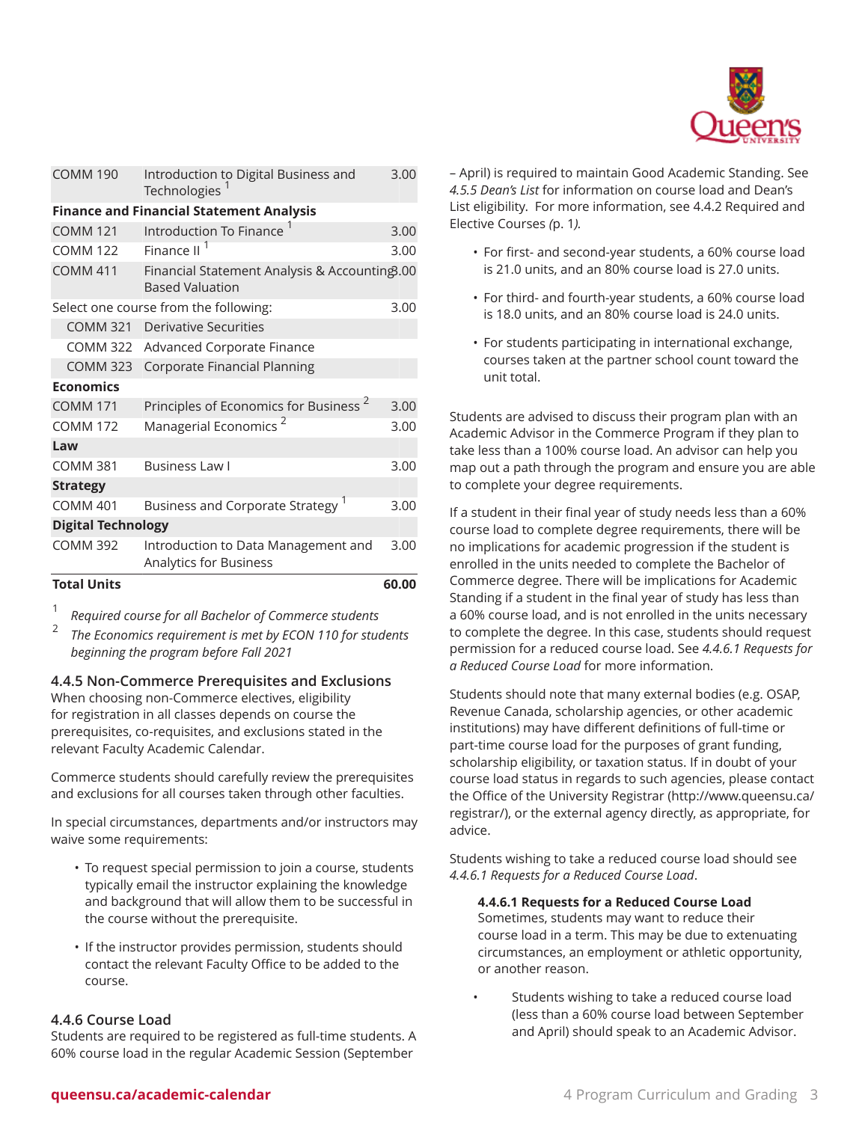

| <b>COMM 190</b>                                 | Introduction to Digital Business and<br>Technologies                    | 3.00  |  |  |
|-------------------------------------------------|-------------------------------------------------------------------------|-------|--|--|
| <b>Finance and Financial Statement Analysis</b> |                                                                         |       |  |  |
| <b>COMM 121</b>                                 | Introduction To Finance <sup>1</sup>                                    | 3.00  |  |  |
| <b>COMM 122</b>                                 | Finance II                                                              | 3.00  |  |  |
| <b>COMM 411</b>                                 | Financial Statement Analysis & Accounting3.00<br><b>Based Valuation</b> |       |  |  |
|                                                 | Select one course from the following:                                   | 3.00  |  |  |
| <b>COMM 321</b>                                 | <b>Derivative Securities</b>                                            |       |  |  |
| <b>COMM 322</b>                                 | Advanced Corporate Finance                                              |       |  |  |
| <b>COMM 323</b>                                 | <b>Corporate Financial Planning</b>                                     |       |  |  |
| <b>Economics</b>                                |                                                                         |       |  |  |
| <b>COMM 171</b>                                 | Principles of Economics for Business <sup>2</sup>                       | 3.00  |  |  |
| <b>COMM 172</b>                                 | Managerial Economics <sup>2</sup>                                       | 3.00  |  |  |
| Law                                             |                                                                         |       |  |  |
| <b>COMM 381</b>                                 | <b>Business Law I</b>                                                   | 3.00  |  |  |
| <b>Strategy</b>                                 |                                                                         |       |  |  |
| <b>COMM 401</b>                                 | Business and Corporate Strategy <sup>1</sup>                            | 3.00  |  |  |
| <b>Digital Technology</b>                       |                                                                         |       |  |  |
| <b>COMM 392</b>                                 | Introduction to Data Management and<br>Analytics for Business           | 3.00  |  |  |
| <b>Total Units</b>                              |                                                                         | 60.00 |  |  |

1 *Required course for all Bachelor of Commerce students*

2 *The Economics requirement is met by ECON 110 for students beginning the program before Fall 2021*

# **4.4.5 Non-Commerce Prerequisites and Exclusions**

When choosing non-Commerce electives, eligibility for registration in all classes depends on course the prerequisites, co-requisites, and exclusions stated in the relevant Faculty Academic Calendar.

Commerce students should carefully review the prerequisites and exclusions for all courses taken through other faculties.

In special circumstances, departments and/or instructors may waive some requirements:

- To request special permission to join a course, students typically email the instructor explaining the knowledge and background that will allow them to be successful in the course without the prerequisite.
- If the instructor provides permission, students should contact the relevant Faculty Office to be added to the course.

# **4.4.6 Course Load**

Students are required to be registered as full-time students. A 60% course load in the regular Academic Session (September

– April) is required to maintain Good Academic Standing. See *4.5.5 Dean's List* for information on course load and Dean's List eligibility. For more information, see 4.4.2 [Required](#page-0-0) and [Elective Courses](#page-0-0) *(*[p. 1](#page-0-0)*).*

- For first- and second-year students, a 60% course load is 21.0 units, and an 80% course load is 27.0 units.
- For third- and fourth-year students, a 60% course load is 18.0 units, and an 80% course load is 24.0 units.
- For students participating in international exchange, courses taken at the partner school count toward the unit total.

Students are advised to discuss their program plan with an Academic Advisor in the Commerce Program if they plan to take less than a 100% course load. An advisor can help you map out a path through the program and ensure you are able to complete your degree requirements.

If a student in their final year of study needs less than a 60% course load to complete degree requirements, there will be no implications for academic progression if the student is enrolled in the units needed to complete the Bachelor of Commerce degree. There will be implications for Academic Standing if a student in the final year of study has less than a 60% course load, and is not enrolled in the units necessary to complete the degree. In this case, students should request permission for a reduced course load. See *4.4.6.1 Requests for a Reduced Course Load* for more information.

Students should note that many external bodies (e.g. OSAP, Revenue Canada, scholarship agencies, or other academic institutions) may have different definitions of full-time or part-time course load for the purposes of grant funding, scholarship eligibility, or taxation status. If in doubt of your course load status in regards to such agencies, please contact the Office of the [University](http://www.queensu.ca/registrar/) Registrar ([http://www.queensu.ca/](http://www.queensu.ca/registrar/) [registrar/\)](http://www.queensu.ca/registrar/), or the external agency directly, as appropriate, for advice.

Students wishing to take a reduced course load should see *4.4.6.1 Requests for a Reduced Course Load*.

**4.4.6.1 Requests for a Reduced Course Load**

Sometimes, students may want to reduce their course load in a term. This may be due to extenuating circumstances, an employment or athletic opportunity, or another reason.

• Students wishing to take a reduced course load (less than a 60% course load between September and April) should speak to an Academic Advisor.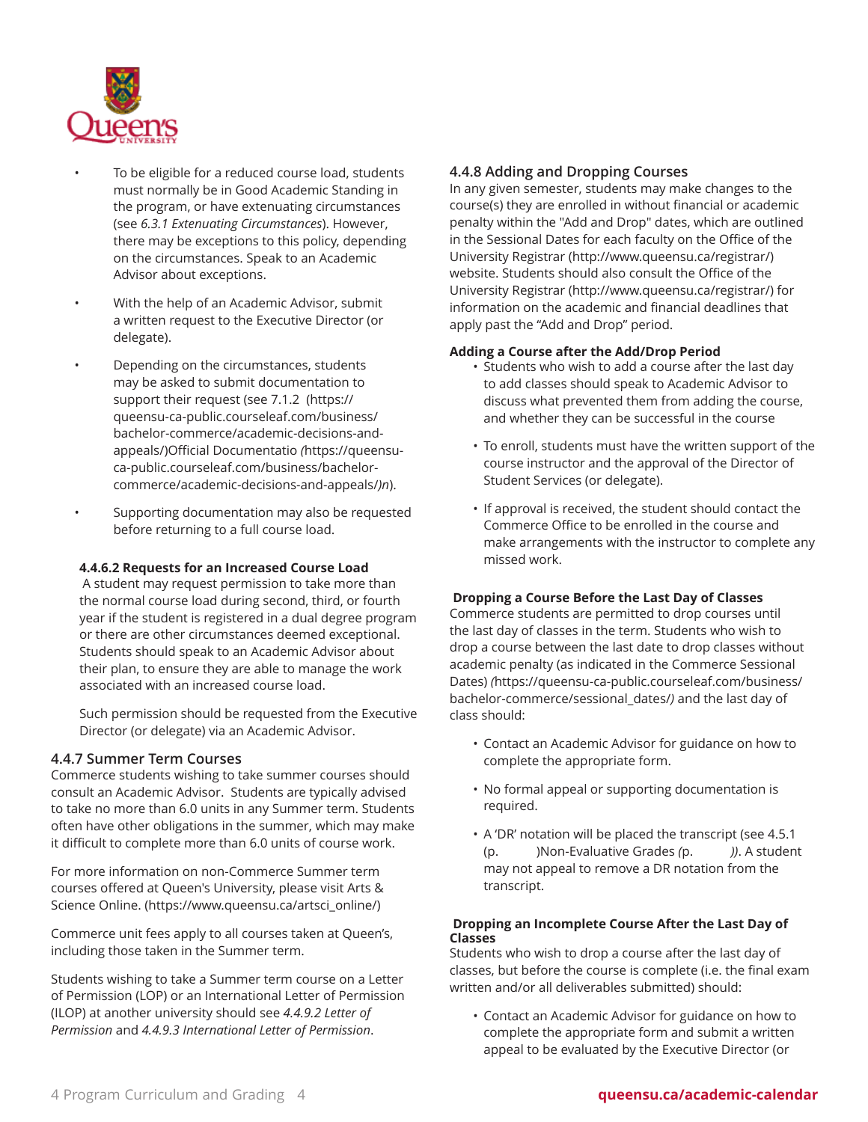

- To be eligible for a reduced course load, students must normally be in Good Academic Standing in the program, or have extenuating circumstances (see *6.3.1 Extenuating Circumstances*). However, there may be exceptions to this policy, depending on the circumstances. Speak to an Academic Advisor about exceptions.
- With the help of an Academic Advisor, submit a written request to the Executive Director (or delegate).
- Depending on the circumstances, students may be asked to submit documentation to support their request (see [7.1.2](https://queensu-ca-public.courseleaf.com/business/bachelor-commerce/academic-decisions-and-appeals/) ([https://](https://queensu-ca-public.courseleaf.com/business/bachelor-commerce/academic-decisions-and-appeals/) [queensu-ca-public.courseleaf.com/business/](https://queensu-ca-public.courseleaf.com/business/bachelor-commerce/academic-decisions-and-appeals/) [bachelor-commerce/academic-decisions-and](https://queensu-ca-public.courseleaf.com/business/bachelor-commerce/academic-decisions-and-appeals/)[appeals/\)Official Documentatio](https://queensu-ca-public.courseleaf.com/business/bachelor-commerce/academic-decisions-and-appeals/) *(*[https://queensu](https://queensu-ca-public.courseleaf.com/business/bachelor-commerce/academic-decisions-and-appeals/)[ca-public.courseleaf.com/business/bachelor](https://queensu-ca-public.courseleaf.com/business/bachelor-commerce/academic-decisions-and-appeals/)[commerce/academic-decisions-and-appeals/](https://queensu-ca-public.courseleaf.com/business/bachelor-commerce/academic-decisions-and-appeals/)*)n*).
- Supporting documentation may also be requested before returning to a full course load.

# **4.4.6.2 Requests for an Increased Course Load**

A student may request permission to take more than the normal course load during second, third, or fourth year if the student is registered in a dual degree program or there are other circumstances deemed exceptional. Students should speak to an Academic Advisor about their plan, to ensure they are able to manage the work associated with an increased course load.

Such permission should be requested from the Executive Director (or delegate) via an Academic Advisor.

# **4.4.7 Summer Term Courses**

Commerce students wishing to take summer courses should consult an Academic Advisor. Students are typically advised to take no more than 6.0 units in any Summer term. Students often have other obligations in the summer, which may make it difficult to complete more than 6.0 units of course work.

For more information on non-Commerce Summer term courses offered at Queen's University, please visit [Arts &](https://www.queensu.ca/artsci_online/) [Science Online.](https://www.queensu.ca/artsci_online/) ([https://www.queensu.ca/artsci\\_online/\)](https://www.queensu.ca/artsci_online/)

Commerce unit fees apply to all courses taken at Queen's, including those taken in the Summer term.

Students wishing to take a Summer term course on a Letter of Permission (LOP) or an International Letter of Permission (ILOP) at another university should see *4.4.9.2 Letter of Permission* and *4.4.9.3 International Letter of Permission*.

# <span id="page-3-0"></span>**4.4.8 Adding and Dropping Courses**

In any given semester, students may make changes to the course(s) they are enrolled in without financial or academic penalty within the "Add and Drop" dates, which are outlined in the Sessional Dates for each faculty on the [Office of the](http://www.queensu.ca/registrar/) [University](http://www.queensu.ca/registrar/) Registrar (<http://www.queensu.ca/registrar/>) website. Students should also consult the [Office of the](http://www.queensu.ca/registrar/) [University](http://www.queensu.ca/registrar/) Registrar (<http://www.queensu.ca/registrar/>) for information on the academic and financial deadlines that apply past the "Add and Drop" period.

# **Adding a Course after the Add/Drop Period**

- Students who wish to add a course after the last day to add classes should speak to Academic Advisor to discuss what prevented them from adding the course, and whether they can be successful in the course
- To enroll, students must have the written support of the course instructor and the approval of the Director of Student Services (or delegate).
- If approval is received, the student should contact the Commerce Office to be enrolled in the course and make arrangements with the instructor to complete any missed work.

# **Dropping a Course Before the Last Day of Classes**

Commerce students are permitted to drop courses until the last day of classes in the term. Students who wish to drop a course between the last date to drop classes without academic penalty (as indicated in the [Commerce](https://queensu-ca-public.courseleaf.com/business/bachelor-commerce/sessional_dates/) Sessional [Dates\)](https://queensu-ca-public.courseleaf.com/business/bachelor-commerce/sessional_dates/) *(*[https://queensu-ca-public.courseleaf.com/business/](https://queensu-ca-public.courseleaf.com/business/bachelor-commerce/sessional_dates/) [bachelor-commerce/sessional\\_dates/](https://queensu-ca-public.courseleaf.com/business/bachelor-commerce/sessional_dates/)*)* and the last day of class should:

- Contact an Academic Advisor for guidance on how to complete the appropriate form.
- No formal appeal or supporting documentation is required.
- A 'DR' notation will be placed the transcript (see 4.5.1 (p. )Non-Evaluative Grades *(*p. *))*. A student may not appeal to remove a DR notation from the transcript.

# **Dropping an Incomplete Course After the Last Day of Classes**

Students who wish to drop a course after the last day of classes, but before the course is complete (i.e. the final exam written and/or all deliverables submitted) should:

• Contact an Academic Advisor for guidance on how to complete the appropriate form and submit a written appeal to be evaluated by the Executive Director (or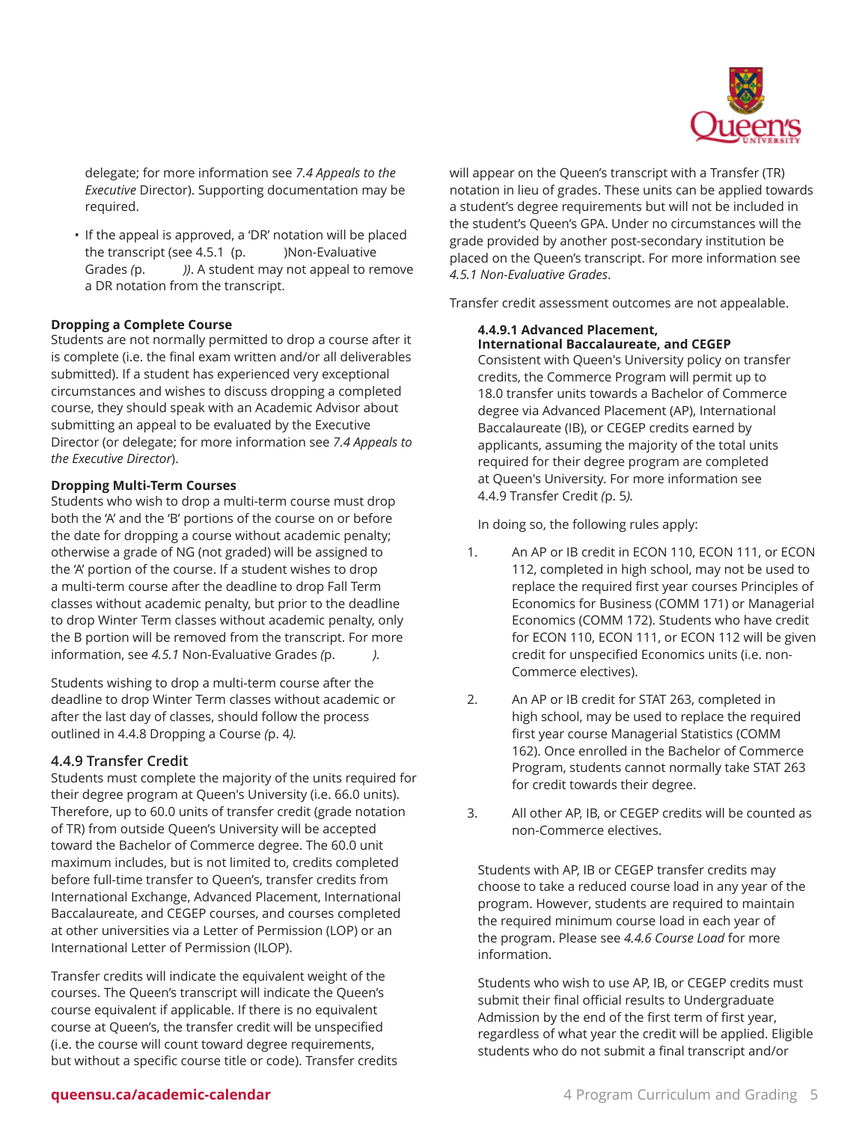

delegate; for more information see *7.4 Appeals to the Executive* Director). Supporting documentation may be required.

• If the appeal is approved, a 'DR' notation will be placed the transcript (see  $4.5.1$  (p.  $\qquad$  )Non-Evaluative Grades *(*p. *))*. A student may not appeal to remove a DR notation from the transcript.

### **Dropping a Complete Course**

Students are not normally permitted to drop a course after it is complete (i.e. the final exam written and/or all deliverables submitted). If a student has experienced very exceptional circumstances and wishes to discuss dropping a completed course, they should speak with an Academic Advisor about submitting an appeal to be evaluated by the Executive Director (or delegate; for more information see *7.4 Appeals to the Executive Director*).

#### **Dropping Multi-Term Courses**

Students who wish to drop a multi-term course must drop both the 'A' and the 'B' portions of the course on or before the date for dropping a course without academic penalty; otherwise a grade of NG (not graded) will be assigned to the 'A' portion of the course. If a student wishes to drop a multi-term course after the deadline to drop Fall Term classes without academic penalty, but prior to the deadline to drop Winter Term classes without academic penalty, only the B portion will be removed from the transcript. For more information, see *4.5.1* Non-Evaluative Grades *(*p. *).*

Students wishing to drop a multi-term course after the deadline to drop Winter Term classes without academic or after the last day of classes, should follow the process outlined in 4.4.8 [Dropping](#page-3-0) a Course *(*[p. 4](#page-3-0)*).*

#### <span id="page-4-0"></span>**4.4.9 Transfer Credit**

Students must complete the majority of the units required for their degree program at Queen's University (i.e. 66.0 units). Therefore, up to 60.0 units of transfer credit (grade notation of TR) from outside Queen's University will be accepted toward the Bachelor of Commerce degree. The 60.0 unit maximum includes, but is not limited to, credits completed before full-time transfer to Queen's, transfer credits from International Exchange, Advanced Placement, International Baccalaureate, and CEGEP courses, and courses completed at other universities via a Letter of Permission (LOP) or an International Letter of Permission (ILOP).

Transfer credits will indicate the equivalent weight of the courses. The Queen's transcript will indicate the Queen's course equivalent if applicable. If there is no equivalent course at Queen's, the transfer credit will be unspecified (i.e. the course will count toward degree requirements, but without a specific course title or code). Transfer credits will appear on the Queen's transcript with a Transfer (TR) notation in lieu of grades. These units can be applied towards a student's degree requirements but will not be included in the student's Queen's GPA. Under no circumstances will the grade provided by another post-secondary institution be placed on the Queen's transcript. For more information see *4.5.1 Non-Evaluative Grades*.

Transfer credit assessment outcomes are not appealable.

#### **4.4.9.1 Advanced Placement, International Baccalaureate, and CEGEP**

Consistent with Queen's University policy on transfer credits, the Commerce Program will permit up to 18.0 transfer units towards a Bachelor of Commerce degree via Advanced Placement (AP), International Baccalaureate (IB), or CEGEP credits earned by applicants, assuming the majority of the total units required for their degree program are completed at Queen's University. For more information see 4.4.9 [Transfer](#page-4-0) Credit *(*[p. 5](#page-4-0)*).*

In doing so, the following rules apply:

- 1. An AP or IB credit in ECON 110, ECON 111, or ECON 112, completed in high school, may not be used to replace the required first year courses Principles of Economics for Business (COMM 171) or Managerial Economics (COMM 172). Students who have credit for ECON 110, ECON 111, or ECON 112 will be given credit for unspecified Economics units (i.e. non-Commerce electives).
- 2. An AP or IB credit for STAT 263, completed in high school, may be used to replace the required first year course Managerial Statistics (COMM 162). Once enrolled in the Bachelor of Commerce Program, students cannot normally take STAT 263 for credit towards their degree.
- 3. All other AP, IB, or CEGEP credits will be counted as non-Commerce electives.

Students with AP, IB or CEGEP transfer credits may choose to take a reduced course load in any year of the program. However, students are required to maintain the required minimum course load in each year of the program. Please see *4.4.6 Course Load* for more information.

Students who wish to use AP, IB, or CEGEP credits must submit their final official results to Undergraduate Admission by the end of the first term of first year, regardless of what year the credit will be applied. Eligible students who do not submit a final transcript and/or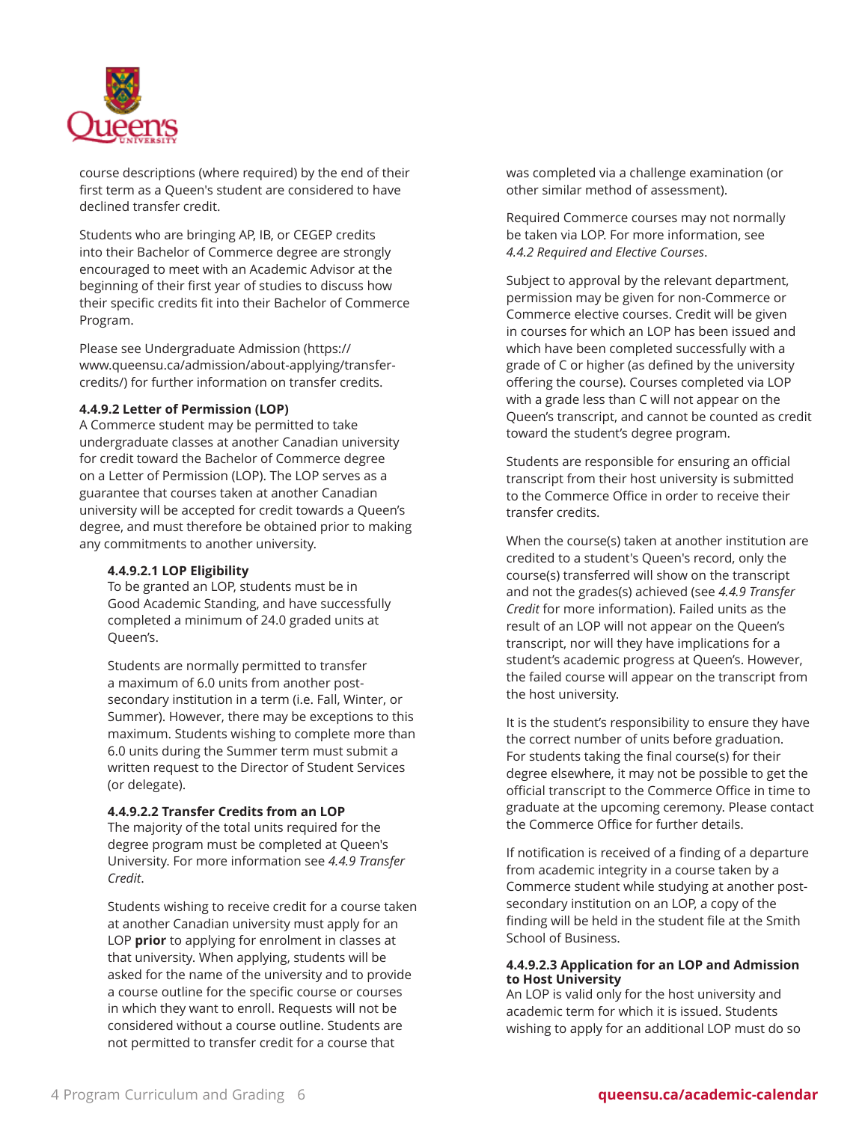

course descriptions (where required) by the end of their first term as a Queen's student are considered to have declined transfer credit.

Students who are bringing AP, IB, or CEGEP credits into their Bachelor of Commerce degree are strongly encouraged to meet with an Academic Advisor at the beginning of their first year of studies to discuss how their specific credits fit into their Bachelor of Commerce Program.

Please see [Undergraduate](https://www.queensu.ca/admission/about-applying/transfer-credits/) Admission ([https://](https://www.queensu.ca/admission/about-applying/transfer-credits/) [www.queensu.ca/admission/about-applying/transfer](https://www.queensu.ca/admission/about-applying/transfer-credits/)[credits/](https://www.queensu.ca/admission/about-applying/transfer-credits/)) for further information on transfer credits.

### **4.4.9.2 Letter of Permission (LOP)**

A Commerce student may be permitted to take undergraduate classes at another Canadian university for credit toward the Bachelor of Commerce degree on a Letter of Permission (LOP). The LOP serves as a guarantee that courses taken at another Canadian university will be accepted for credit towards a Queen's degree, and must therefore be obtained prior to making any commitments to another university.

#### **4.4.9.2.1 LOP Eligibility**

To be granted an LOP, students must be in Good Academic Standing, and have successfully completed a minimum of 24.0 graded units at Queen's.

Students are normally permitted to transfer a maximum of 6.0 units from another postsecondary institution in a term (i.e. Fall, Winter, or Summer). However, there may be exceptions to this maximum. Students wishing to complete more than 6.0 units during the Summer term must submit a written request to the Director of Student Services (or delegate).

### **4.4.9.2.2 Transfer Credits from an LOP**

The majority of the total units required for the degree program must be completed at Queen's University. For more information see *4.4.9 Transfer Credit*.

Students wishing to receive credit for a course taken at another Canadian university must apply for an LOP **prior** to applying for enrolment in classes at that university. When applying, students will be asked for the name of the university and to provide a course outline for the specific course or courses in which they want to enroll. Requests will not be considered without a course outline. Students are not permitted to transfer credit for a course that

was completed via a challenge examination (or other similar method of assessment).

Required Commerce courses may not normally be taken via LOP. For more information, see *4.4.2 Required and Elective Courses*.

Subject to approval by the relevant department, permission may be given for non-Commerce or Commerce elective courses. Credit will be given in courses for which an LOP has been issued and which have been completed successfully with a grade of C or higher (as defined by the university offering the course). Courses completed via LOP with a grade less than C will not appear on the Queen's transcript, and cannot be counted as credit toward the student's degree program.

Students are responsible for ensuring an official transcript from their host university is submitted to the Commerce Office in order to receive their transfer credits.

When the course(s) taken at another institution are credited to a student's Queen's record, only the course(s) transferred will show on the transcript and not the grades(s) achieved (see *4.4.9 Transfer Credit* for more information). Failed units as the result of an LOP will not appear on the Queen's transcript, nor will they have implications for a student's academic progress at Queen's. However, the failed course will appear on the transcript from the host university.

It is the student's responsibility to ensure they have the correct number of units before graduation. For students taking the final course(s) for their degree elsewhere, it may not be possible to get the official transcript to the Commerce Office in time to graduate at the upcoming ceremony. Please contact the Commerce Office for further details.

If notification is received of a finding of a departure from academic integrity in a course taken by a Commerce student while studying at another postsecondary institution on an LOP, a copy of the finding will be held in the student file at the Smith School of Business.

#### **4.4.9.2.3 Application for an LOP and Admission to Host University**

An LOP is valid only for the host university and academic term for which it is issued. Students wishing to apply for an additional LOP must do so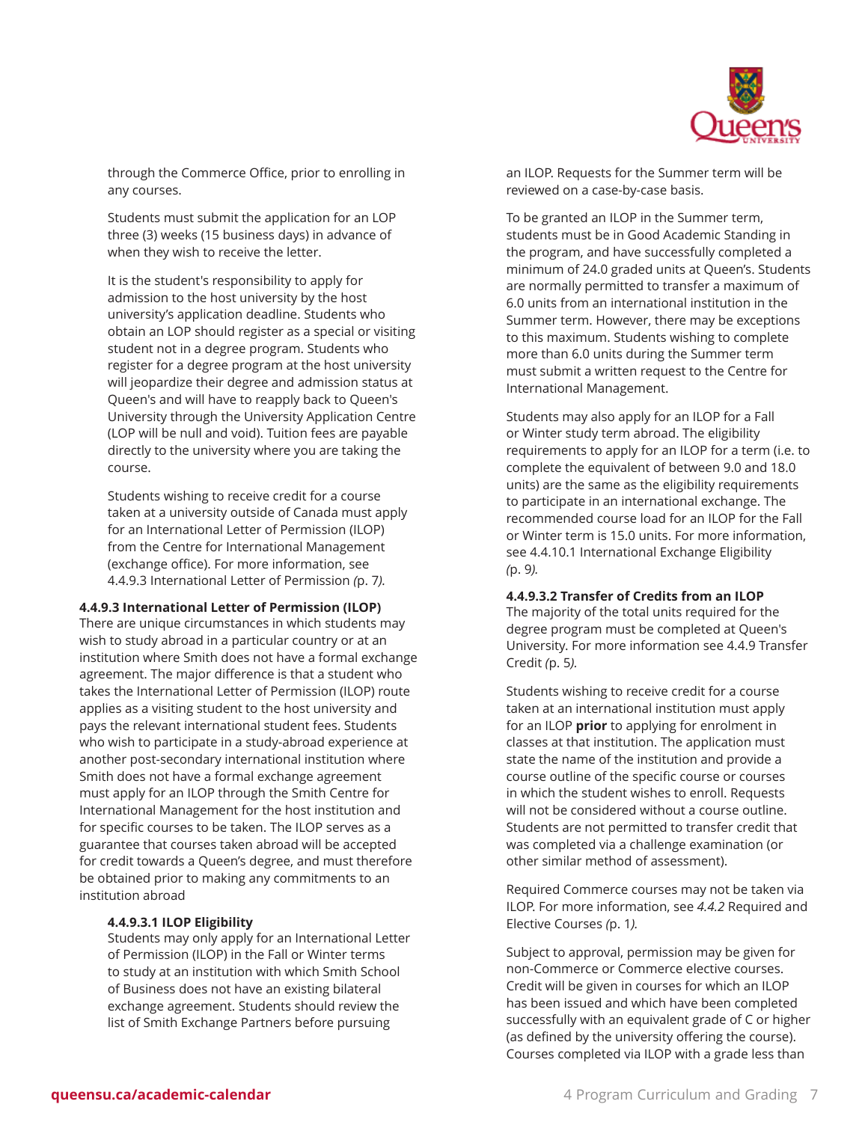

through the Commerce Office, prior to enrolling in any courses.

Students must submit the application for an LOP three (3) weeks (15 business days) in advance of when they wish to receive the letter.

It is the student's responsibility to apply for admission to the host university by the host university's application deadline. Students who obtain an LOP should register as a special or visiting student not in a degree program. Students who register for a degree program at the host university will jeopardize their degree and admission status at Queen's and will have to reapply back to Queen's University through the University Application Centre (LOP will be null and void). Tuition fees are payable directly to the university where you are taking the course.

Students wishing to receive credit for a course taken at a university outside of Canada must apply for an International Letter of Permission (ILOP) from the Centre for International Management (exchange office). For more information, see [4.4.9.3 International Letter of Permission](#page-6-0) *(*[p. 7](#page-6-0)*).*

#### <span id="page-6-0"></span>**4.4.9.3 International Letter of Permission (ILOP)**

There are unique circumstances in which students may wish to study abroad in a particular country or at an institution where Smith does not have a formal exchange agreement. The major difference is that a student who takes the International Letter of Permission (ILOP) route applies as a visiting student to the host university and pays the relevant international student fees. Students who wish to participate in a study-abroad experience at another post-secondary international institution where Smith does not have a formal exchange agreement must apply for an ILOP through the Smith Centre for International Management for the host institution and for specific courses to be taken. The ILOP serves as a guarantee that courses taken abroad will be accepted for credit towards a Queen's degree, and must therefore be obtained prior to making any commitments to an institution abroad

#### **4.4.9.3.1 ILOP Eligibility**

Students may only apply for an International Letter of Permission (ILOP) in the Fall or Winter terms to study at an institution with which Smith School of Business does not have an existing bilateral exchange agreement. Students should review the list of Smith Exchange Partners before pursuing

an ILOP. Requests for the Summer term will be reviewed on a case-by-case basis.

To be granted an ILOP in the Summer term, students must be in Good Academic Standing in the program, and have successfully completed a minimum of 24.0 graded units at Queen's. Students are normally permitted to transfer a maximum of 6.0 units from an international institution in the Summer term. However, there may be exceptions to this maximum. Students wishing to complete more than 6.0 units during the Summer term must submit a written request to the Centre for International Management.

Students may also apply for an ILOP for a Fall or Winter study term abroad. The eligibility requirements to apply for an ILOP for a term (i.e. to complete the equivalent of between 9.0 and 18.0 units) are the same as the eligibility requirements to participate in an international exchange. The recommended course load for an ILOP for the Fall or Winter term is 15.0 units. For more information, see 4.4.10.1 [International](#page-8-0) Exchange Eligibility *(*[p. 9](#page-8-0)*).*

#### **4.4.9.3.2 Transfer of Credits from an ILOP**

The majority of the total units required for the degree program must be completed at Queen's University. For more information see 4.4.9 [Transfer](#page-4-0) [Credit](#page-4-0) *(*[p. 5](#page-4-0)*).*

Students wishing to receive credit for a course taken at an international institution must apply for an ILOP **prior** to applying for enrolment in classes at that institution. The application must state the name of the institution and provide a course outline of the specific course or courses in which the student wishes to enroll. Requests will not be considered without a course outline. Students are not permitted to transfer credit that was completed via a challenge examination (or other similar method of assessment).

Required Commerce courses may not be taken via ILOP. For more information, see *4.4.2* [Required](#page-0-0) and [Elective Courses](#page-0-0) *(*[p. 1](#page-0-0)*).*

Subject to approval, permission may be given for non-Commerce or Commerce elective courses. Credit will be given in courses for which an ILOP has been issued and which have been completed successfully with an equivalent grade of C or higher (as defined by the university offering the course). Courses completed via ILOP with a grade less than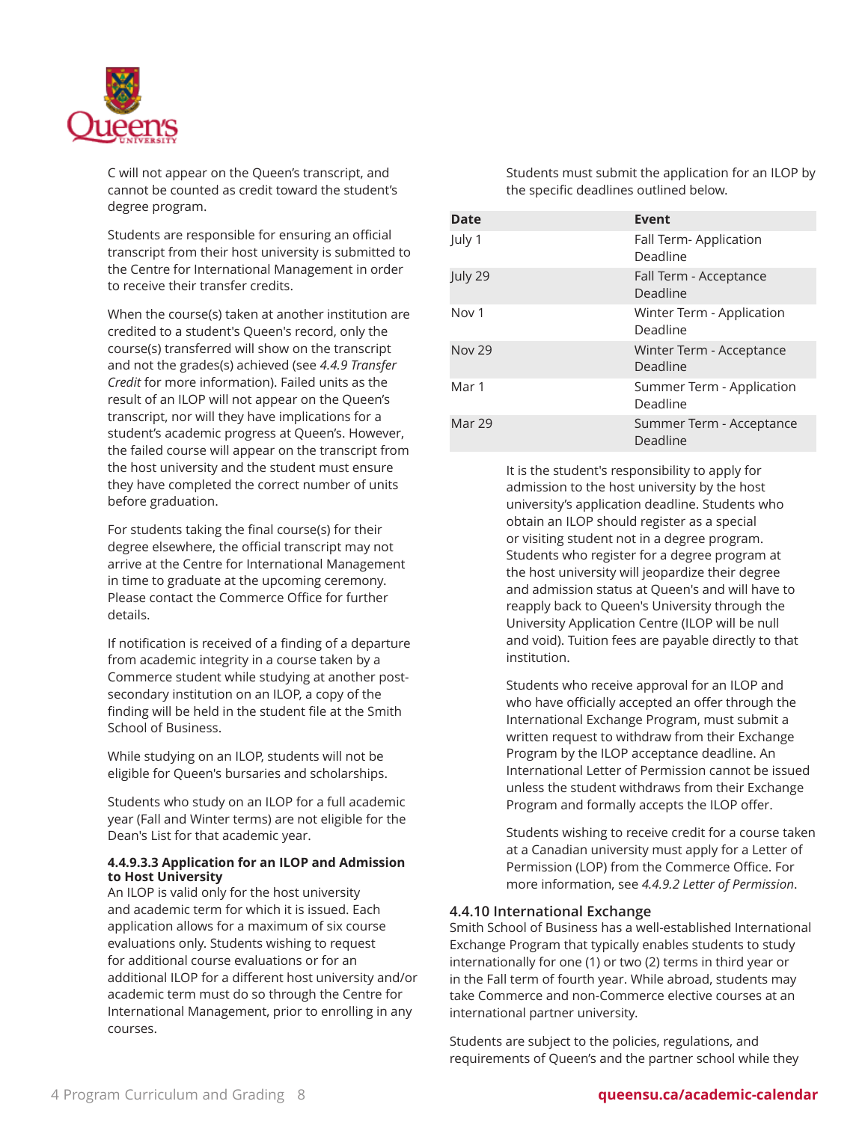

C will not appear on the Queen's transcript, and cannot be counted as credit toward the student's degree program.

Students are responsible for ensuring an official transcript from their host university is submitted to the Centre for International Management in order to receive their transfer credits.

When the course(s) taken at another institution are credited to a student's Queen's record, only the course(s) transferred will show on the transcript and not the grades(s) achieved (see *4.4.9 Transfer Credit* for more information). Failed units as the result of an ILOP will not appear on the Queen's transcript, nor will they have implications for a student's academic progress at Queen's. However, the failed course will appear on the transcript from the host university and the student must ensure they have completed the correct number of units before graduation.

For students taking the final course(s) for their degree elsewhere, the official transcript may not arrive at the Centre for International Management in time to graduate at the upcoming ceremony. Please contact the Commerce Office for further details.

If notification is received of a finding of a departure from academic integrity in a course taken by a Commerce student while studying at another postsecondary institution on an ILOP, a copy of the finding will be held in the student file at the Smith School of Business.

While studying on an ILOP, students will not be eligible for Queen's bursaries and scholarships.

Students who study on an ILOP for a full academic year (Fall and Winter terms) are not eligible for the Dean's List for that academic year.

### **4.4.9.3.3 Application for an ILOP and Admission to Host University**

An ILOP is valid only for the host university and academic term for which it is issued. Each application allows for a maximum of six course evaluations only. Students wishing to request for additional course evaluations or for an additional ILOP for a different host university and/or academic term must do so through the Centre for International Management, prior to enrolling in any courses.

Students must submit the application for an ILOP by the specific deadlines outlined below.

| <b>Date</b>      | Event                                 |
|------------------|---------------------------------------|
| July 1           | Fall Term-Application<br>Deadline     |
| July 29          | Fall Term - Acceptance<br>Deadline    |
| Nov <sub>1</sub> | Winter Term - Application<br>Deadline |
| <b>Nov 29</b>    | Winter Term - Acceptance<br>Deadline  |
| Mar 1            | Summer Term - Application<br>Deadline |
| <b>Mar 29</b>    | Summer Term - Acceptance<br>Deadline  |

It is the student's responsibility to apply for admission to the host university by the host university's application deadline. Students who obtain an ILOP should register as a special or visiting student not in a degree program. Students who register for a degree program at the host university will jeopardize their degree and admission status at Queen's and will have to reapply back to Queen's University through the University Application Centre (ILOP will be null and void). Tuition fees are payable directly to that institution.

Students who receive approval for an ILOP and who have officially accepted an offer through the International Exchange Program, must submit a written request to withdraw from their Exchange Program by the ILOP acceptance deadline. An International Letter of Permission cannot be issued unless the student withdraws from their Exchange Program and formally accepts the ILOP offer.

Students wishing to receive credit for a course taken at a Canadian university must apply for a Letter of Permission (LOP) from the Commerce Office. For more information, see *4.4.9.2 Letter of Permission*.

# **4.4.10 International Exchange**

Smith School of Business has a well-established International Exchange Program that typically enables students to study internationally for one (1) or two (2) terms in third year or in the Fall term of fourth year. While abroad, students may take Commerce and non-Commerce elective courses at an international partner university.

Students are subject to the policies, regulations, and requirements of Queen's and the partner school while they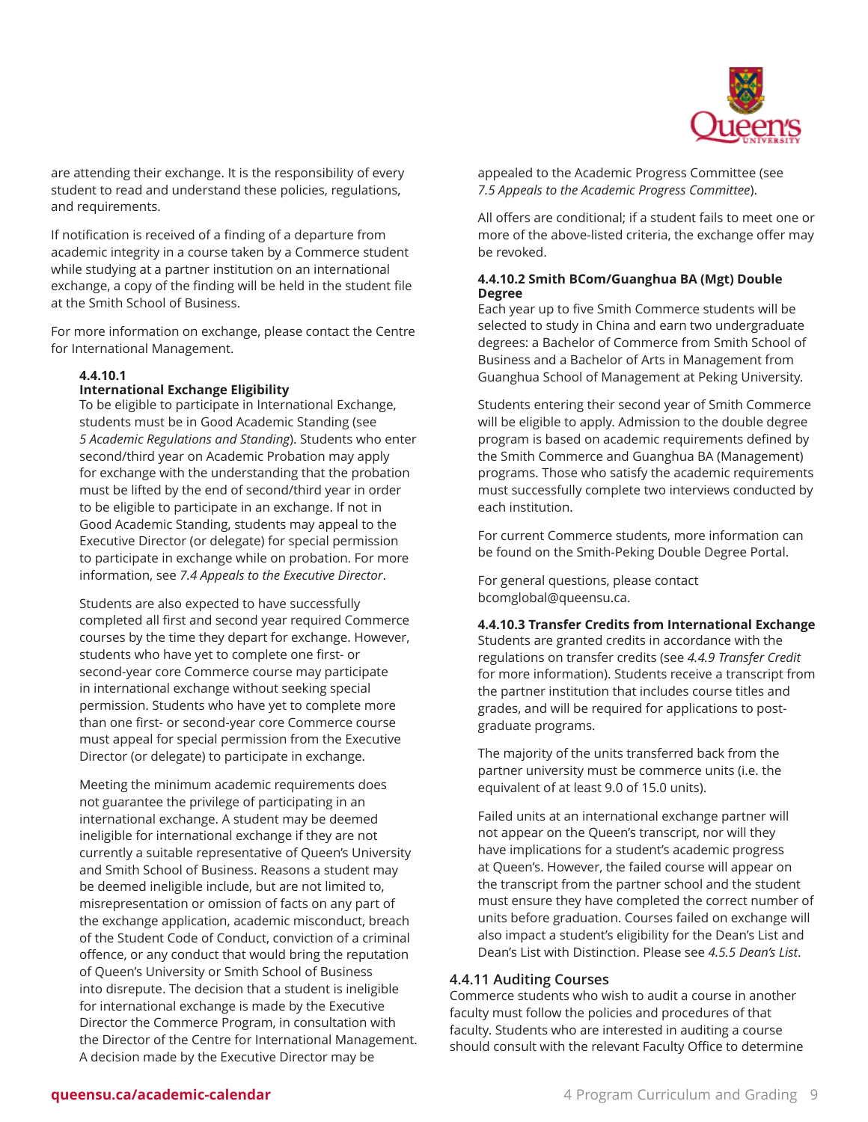

are attending their exchange. It is the responsibility of every student to read and understand these policies, regulations, and requirements.

If notification is received of a finding of a departure from academic integrity in a course taken by a Commerce student while studying at a partner institution on an international exchange, a copy of the finding will be held in the student file at the Smith School of Business.

For more information on exchange, please contact the Centre for International Management.

# <span id="page-8-0"></span>**4.4.10.1**

# **International Exchange Eligibility**

To be eligible to participate in International Exchange, students must be in Good Academic Standing (see *5 Academic Regulations and Standing*). Students who enter second/third year on Academic Probation may apply for exchange with the understanding that the probation must be lifted by the end of second/third year in order to be eligible to participate in an exchange. If not in Good Academic Standing, students may appeal to the Executive Director (or delegate) for special permission to participate in exchange while on probation. For more information, see *7.4 Appeals to the Executive Director*.

Students are also expected to have successfully completed all first and second year required Commerce courses by the time they depart for exchange. However, students who have yet to complete one first- or second-year core Commerce course may participate in international exchange without seeking special permission. Students who have yet to complete more than one first- or second-year core Commerce course must appeal for special permission from the Executive Director (or delegate) to participate in exchange.

Meeting the minimum academic requirements does not guarantee the privilege of participating in an international exchange. A student may be deemed ineligible for international exchange if they are not currently a suitable representative of Queen's University and Smith School of Business. Reasons a student may be deemed ineligible include, but are not limited to, misrepresentation or omission of facts on any part of the exchange application, academic misconduct, breach of the Student Code of Conduct, conviction of a criminal offence, or any conduct that would bring the reputation of Queen's University or Smith School of Business into disrepute. The decision that a student is ineligible for international exchange is made by the Executive Director the Commerce Program, in consultation with the Director of the Centre for International Management. A decision made by the Executive Director may be

appealed to the Academic Progress Committee (see *7.5 Appeals to the Academic Progress Committee*).

All offers are conditional; if a student fails to meet one or more of the above-listed criteria, the exchange offer may be revoked.

### **4.4.10.2 Smith BCom/Guanghua BA (Mgt) Double Degree**

Each year up to five Smith Commerce students will be selected to study in China and earn two undergraduate degrees: a Bachelor of Commerce from Smith School of Business and a Bachelor of Arts in Management from Guanghua School of Management at Peking University.

Students entering their second year of Smith Commerce will be eligible to apply. Admission to the double degree program is based on academic requirements defined by the Smith Commerce and Guanghua BA (Management) programs. Those who satisfy the academic requirements must successfully complete two interviews conducted by each institution.

For current Commerce students, more information can be found on the Smith-Peking Double Degree Portal.

For general questions, please contact [bcomglobal@queensu.ca](mailto:bcomglobal@queensu.ca).

**4.4.10.3 Transfer Credits from International Exchange** Students are granted credits in accordance with the regulations on transfer credits (see *4.4.9 Transfer Credit* for more information). Students receive a transcript from the partner institution that includes course titles and grades, and will be required for applications to postgraduate programs.

The majority of the units transferred back from the partner university must be commerce units (i.e. the equivalent of at least 9.0 of 15.0 units).

Failed units at an international exchange partner will not appear on the Queen's transcript, nor will they have implications for a student's academic progress at Queen's. However, the failed course will appear on the transcript from the partner school and the student must ensure they have completed the correct number of units before graduation. Courses failed on exchange will also impact a student's eligibility for the Dean's List and Dean's List with Distinction. Please see *4.5.5 Dean's List*.

# **4.4.11 Auditing Courses**

Commerce students who wish to audit a course in another faculty must follow the policies and procedures of that faculty. Students who are interested in auditing a course should consult with the relevant Faculty Office to determine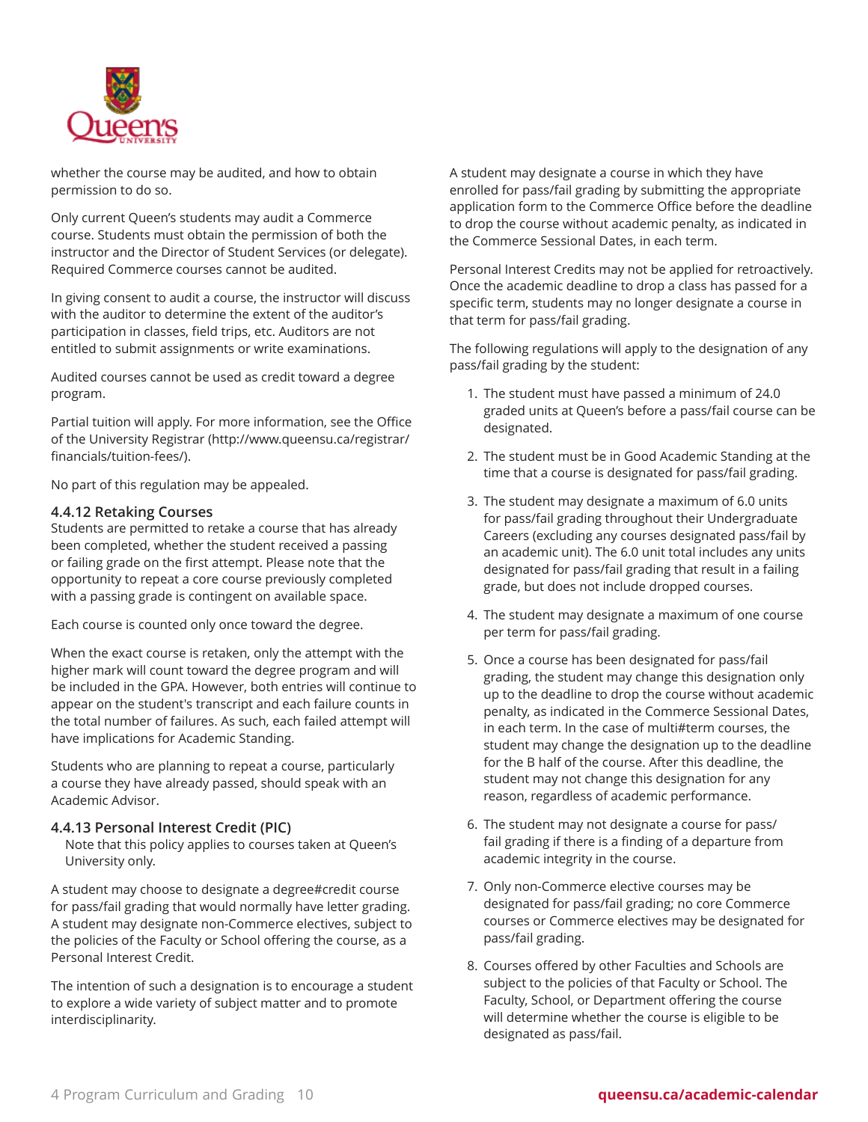

whether the course may be audited, and how to obtain permission to do so.

Only current Queen's students may audit a Commerce course. Students must obtain the permission of both the instructor and the Director of Student Services (or delegate). Required Commerce courses cannot be audited.

In giving consent to audit a course, the instructor will discuss with the auditor to determine the extent of the auditor's participation in classes, field trips, etc. Auditors are not entitled to submit assignments or write examinations.

Audited courses cannot be used as credit toward a degree program.

Partial tuition will apply. For more information, see the [Office](http://www.queensu.ca/registrar/financials/tuition-fees/) of the [University](http://www.queensu.ca/registrar/financials/tuition-fees/) Registrar [\(http://www.queensu.ca/registrar/](http://www.queensu.ca/registrar/financials/tuition-fees/) [financials/tuition-fees/\)](http://www.queensu.ca/registrar/financials/tuition-fees/).

No part of this regulation may be appealed.

### **4.4.12 Retaking Courses**

Students are permitted to retake a course that has already been completed, whether the student received a passing or failing grade on the first attempt. Please note that the opportunity to repeat a core course previously completed with a passing grade is contingent on available space.

Each course is counted only once toward the degree.

When the exact course is retaken, only the attempt with the higher mark will count toward the degree program and will be included in the GPA. However, both entries will continue to appear on the student's transcript and each failure counts in the total number of failures. As such, each failed attempt will have implications for Academic Standing.

Students who are planning to repeat a course, particularly a course they have already passed, should speak with an Academic Advisor.

# **4.4.13 Personal Interest Credit (PIC)**

Note that this policy applies to courses taken at Queen's University only.

A student may choose to designate a degree#credit course for pass/fail grading that would normally have letter grading. A student may designate non-Commerce electives, subject to the policies of the Faculty or School offering the course, as a Personal Interest Credit.

The intention of such a designation is to encourage a student to explore a wide variety of subject matter and to promote interdisciplinarity.

A student may designate a course in which they have enrolled for pass/fail grading by submitting the appropriate application form to the Commerce Office before the deadline to drop the course without academic penalty, as indicated in the Commerce Sessional Dates, in each term.

Personal Interest Credits may not be applied for retroactively. Once the academic deadline to drop a class has passed for a specific term, students may no longer designate a course in that term for pass/fail grading.

The following regulations will apply to the designation of any pass/fail grading by the student:

- 1. The student must have passed a minimum of 24.0 graded units at Queen's before a pass/fail course can be designated.
- 2. The student must be in Good Academic Standing at the time that a course is designated for pass/fail grading.
- 3. The student may designate a maximum of 6.0 units for pass/fail grading throughout their Undergraduate Careers (excluding any courses designated pass/fail by an academic unit). The 6.0 unit total includes any units designated for pass/fail grading that result in a failing grade, but does not include dropped courses.
- 4. The student may designate a maximum of one course per term for pass/fail grading.
- 5. Once a course has been designated for pass/fail grading, the student may change this designation only up to the deadline to drop the course without academic penalty, as indicated in the Commerce Sessional Dates, in each term. In the case of multi#term courses, the student may change the designation up to the deadline for the B half of the course. After this deadline, the student may not change this designation for any reason, regardless of academic performance.
- 6. The student may not designate a course for pass/ fail grading if there is a finding of a departure from academic integrity in the course.
- 7. Only non-Commerce elective courses may be designated for pass/fail grading; no core Commerce courses or Commerce electives may be designated for pass/fail grading.
- 8. Courses offered by other Faculties and Schools are subject to the policies of that Faculty or School. The Faculty, School, or Department offering the course will determine whether the course is eligible to be designated as pass/fail.